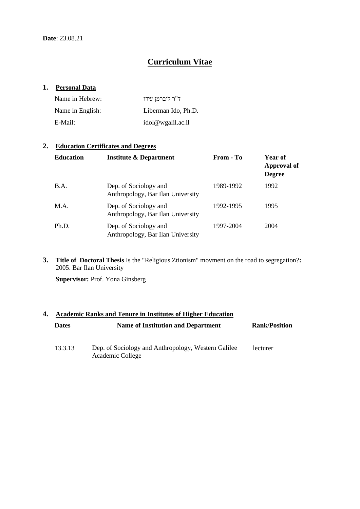# **Curriculum Vitae**

## **1. Personal Data**

| Name in Hebrew:  | ד"ר ליברמו עידו     |
|------------------|---------------------|
| Name in English: | Liberman Ido. Ph.D. |
| E-Mail:          | idol@wgalil.ac.il   |

## **2. Education Certificates and Degrees**

| <b>Education</b> | <b>Institute &amp; Department</b>                          | From - To | Year of<br>Approval of<br><b>Degree</b> |
|------------------|------------------------------------------------------------|-----------|-----------------------------------------|
| B.A.             | Dep. of Sociology and<br>Anthropology, Bar Ilan University | 1989-1992 | 1992                                    |
| M.A.             | Dep. of Sociology and<br>Anthropology, Bar Ilan University | 1992-1995 | 1995                                    |
| Ph.D.            | Dep. of Sociology and<br>Anthropology, Bar Ilan University | 1997-2004 | 2004                                    |

**3. Title of Doctoral Thesis** Is the "Religious Ztionism" movment on the road to segregation?**:** 2005. Bar Ilan University

**Supervisor:** Prof. Yona Ginsberg

# **4. Academic Ranks and Tenure in Institutes of Higher Education Dates Name of Institution and Department Rank/Position**  13.3.13 Dep. of Sociology and Anthropology, Western Galilee Academic College lecturer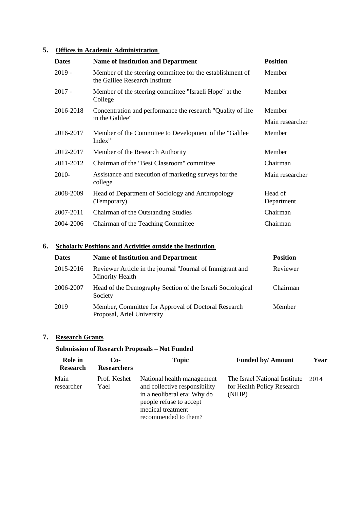# **5. Offices in Academic Administration**

| <b>Dates</b> | <b>Name of Institution and Department</b>                                                   | <b>Position</b>       |
|--------------|---------------------------------------------------------------------------------------------|-----------------------|
| $2019 -$     | Member of the steering committee for the establishment of<br>the Galilee Research Institute | Member                |
| $2017 -$     | Member of the steering committee "Israeli Hope" at the<br>College                           | Member                |
| 2016-2018    | Concentration and performance the research "Quality of life                                 | Member                |
|              | in the Galilee"                                                                             | Main researcher       |
| 2016-2017    | Member of the Committee to Development of the "Galilee"<br>Index"                           | Member                |
| 2012-2017    | Member of the Research Authority                                                            | Member                |
| 2011-2012    | Chairman of the "Best Classroom" committee                                                  | Chairman              |
| 2010-        | Assistance and execution of marketing surveys for the<br>college                            | Main researcher       |
| 2008-2009    | Head of Department of Sociology and Anthropology<br>(Temporary)                             | Head of<br>Department |
| 2007-2011    | Chairman of the Outstanding Studies                                                         | Chairman              |
| 2004-2006    | Chairman of the Teaching Committee                                                          | Chairman              |

# **6. Scholarly Positions and Activities outside the Institution**

| <b>Dates</b> | <b>Name of Institution and Department</b>                                         | <b>Position</b> |
|--------------|-----------------------------------------------------------------------------------|-----------------|
| 2015-2016    | Reviewer Article in the journal "Journal of Immigrant and<br>Minority Health      | Reviewer        |
| 2006-2007    | Head of the Demography Section of the Israeli Sociological<br>Society             | Chairman        |
| 2019         | Member, Committee for Approval of Doctoral Research<br>Proposal, Ariel University | Member          |

# **7. Research Grants**

# **Submission of Research Proposals – Not Funded**

| Role in<br><b>Research</b> | $Co-$<br><b>Researchers</b> | Topic                                                                                                                                                              | <b>Funded by/ Amount</b>                                              | Year |
|----------------------------|-----------------------------|--------------------------------------------------------------------------------------------------------------------------------------------------------------------|-----------------------------------------------------------------------|------|
| Main<br>researcher         | Prof. Keshet<br>Yael        | National health management<br>and collective responsibility<br>in a neoliberal era: Why do<br>people refuse to accept<br>medical treatment<br>recommended to them? | The Israel National Institute<br>for Health Policy Research<br>(NIHP) | 2014 |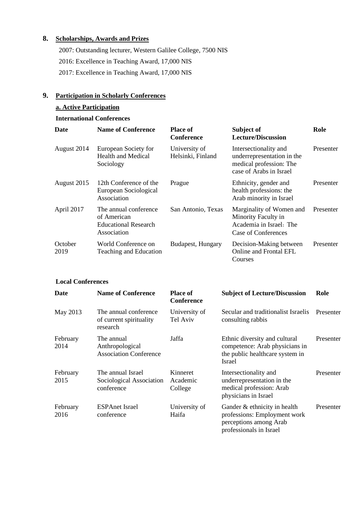# **8. Scholarships, Awards and Prizes**

2007: Outstanding lecturer, Western Galilee College, 7500 NIS 2016: Excellence in Teaching Award, 17,000 NIS 2017: Excellence in Teaching Award, 17,000 NIS

# **9. Participation in Scholarly Conferences**

## **a. Active Participation**

## **International Conferences**

| Date            | <b>Name of Conference</b>                                                          | <b>Place of</b><br>Conference      | Subject of<br><b>Lecture/Discussion</b>                                                                   | Role      |
|-----------------|------------------------------------------------------------------------------------|------------------------------------|-----------------------------------------------------------------------------------------------------------|-----------|
| August 2014     | European Society for<br><b>Health and Medical</b><br>Sociology                     | University of<br>Helsinki, Finland | Intersectionality and<br>underrepresentation in the<br>medical profession: The<br>case of Arabs in Israel | Presenter |
| August 2015     | 12th Conference of the<br>European Sociological<br>Association                     | Prague                             | Ethnicity, gender and<br>health professions: the<br>Arab minority in Israel                               | Presenter |
| April 2017      | The annual conference<br>of American<br><b>Educational Research</b><br>Association | San Antonio, Texas                 | Marginality of Women and<br>Minority Faculty in<br>Academia in Israel: The<br>Case of Conferences         | Presenter |
| October<br>2019 | World Conference on<br>Teaching and Education                                      | Budapest, Hungary                  | Decision-Making between<br>Online and Frontal EFL<br>Courses                                              | Presenter |

#### **Local Conferences**

| Date             | <b>Name of Conference</b>                                      | <b>Place of</b><br><b>Conference</b> | <b>Subject of Lecture/Discussion</b>                                                                                | Role      |
|------------------|----------------------------------------------------------------|--------------------------------------|---------------------------------------------------------------------------------------------------------------------|-----------|
| May 2013         | The annual conference<br>of current spirituality<br>research   | University of<br>Tel Aviv            | Secular and traditionalist Israelis<br>consulting rabbis                                                            | Presenter |
| February<br>2014 | The annual<br>Anthropological<br><b>Association Conference</b> | Jaffa                                | Ethnic diversity and cultural<br>competence: Arab physicians in<br>the public healthcare system in<br><b>Israel</b> | Presenter |
| February<br>2015 | The annual Israel<br>Sociological Association<br>conference    | Kinneret<br>Academic<br>College      | Intersectionality and<br>underrepresentation in the<br>medical profession: Arab<br>physicians in Israel             | Presenter |
| February<br>2016 | <b>ESPAnet Israel</b><br>conference                            | University of<br>Haifa               | Gander & ethnicity in health<br>professions: Employment work<br>perceptions among Arab<br>professionals in Israel   | Presenter |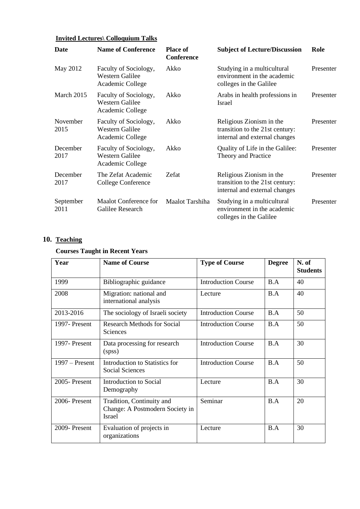# **Invited Lectures\ Colloquium Talks**

| <b>Date</b>       | <b>Name of Conference</b>                                           | <b>Place of</b><br><b>Conference</b> | <b>Subject of Lecture/Discussion</b>                                                         | Role      |
|-------------------|---------------------------------------------------------------------|--------------------------------------|----------------------------------------------------------------------------------------------|-----------|
| May 2012          | Faculty of Sociology,<br><b>Western Galilee</b><br>Academic College | Akko                                 | Studying in a multicultural<br>environment in the academic<br>colleges in the Galilee        | Presenter |
| March 2015        | Faculty of Sociology,<br><b>Western Galilee</b><br>Academic College | Akko                                 | Arabs in health professions in<br>Israel                                                     | Presenter |
| November<br>2015  | Faculty of Sociology,<br><b>Western Galilee</b><br>Academic College | Akko                                 | Religious Zionism in the<br>transition to the 21st century:<br>internal and external changes | Presenter |
| December<br>2017  | Faculty of Sociology,<br><b>Western Galilee</b><br>Academic College | Akko                                 | Quality of Life in the Galilee:<br>Theory and Practice                                       | Presenter |
| December<br>2017  | The Zefat Academic<br>College Conference                            | Zefat                                | Religious Zionism in the<br>transition to the 21st century:<br>internal and external changes | Presenter |
| September<br>2011 | <b>Maalot Conference for</b><br>Galilee Research                    | Maalot Tarshiha                      | Studying in a multicultural<br>environment in the academic<br>colleges in the Galilee        | Presenter |

# **10. Teaching**

# **Courses Taught in Recent Years**

| Year             | <b>Name of Course</b>                                                  | <b>Type of Course</b>      | <b>Degree</b> | N. of<br><b>Students</b> |
|------------------|------------------------------------------------------------------------|----------------------------|---------------|--------------------------|
| 1999             | Bibliographic guidance                                                 | <b>Introduction Course</b> | B.A           | 40                       |
| 2008             | Migration: national and<br>international analysis                      | Lecture                    | B.A           | 40                       |
| 2013-2016        | The sociology of Israeli society                                       | <b>Introduction Course</b> | B.A           | 50                       |
| 1997- Present    | <b>Research Methods for Social</b><br>Sciences                         | <b>Introduction Course</b> | B.A           | 50                       |
| 1997- Present    | Data processing for research<br>(spss)                                 | <b>Introduction Course</b> | B.A           | 30                       |
| $1997 -$ Present | Introduction to Statistics for<br>Social Sciences                      | <b>Introduction Course</b> | B.A           | 50                       |
| 2005-Present     | Introduction to Social<br>Demography                                   | Lecture                    | B.A           | 30                       |
| 2006-Present     | Tradition, Continuity and<br>Change: A Postmodern Society in<br>Israel | Seminar                    | B.A           | 20                       |
| 2009-Present     | Evaluation of projects in<br>organizations                             | Lecture                    | B.A           | 30                       |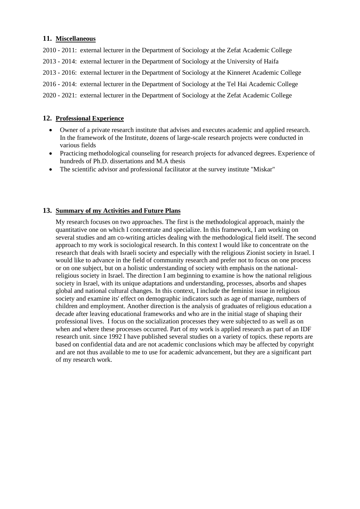### **11. Miscellaneous**

- 2010 2011: external lecturer in the Department of Sociology at the Zefat Academic College
- 2013 2014: external lecturer in the Department of Sociology at the University of Haifa
- 2013 2016: external lecturer in the Department of Sociology at the Kinneret Academic College
- 2016 2014: external lecturer in the Department of Sociology at the Tel Hai Academic College
- 2020 2021: external lecturer in the Department of Sociology at the Zefat Academic College

### **12. Professional Experience**

- Owner of a private research institute that advises and executes academic and applied research. In the framework of the Institute, dozens of large-scale research projects were conducted in various fields
- Practicing methodological counseling for research projects for advanced degrees. Experience of hundreds of Ph.D. dissertations and M.A thesis
- The scientific advisor and professional facilitator at the survey institute "Miskar"

## **13. Summary of my Activities and Future Plans**

My research focuses on two approaches. The first is the methodological approach, mainly the quantitative one on which I concentrate and specialize. In this framework, I am working on several studies and am co-writing articles dealing with the methodological field itself. The second approach to my work is sociological research. In this context I would like to concentrate on the research that deals with Israeli society and especially with the religious Zionist society in Israel. I would like to advance in the field of community research and prefer not to focus on one process or on one subject, but on a holistic understanding of society with emphasis on the nationalreligious society in Israel. The direction I am beginning to examine is how the national religious society in Israel, with its unique adaptations and understanding, processes, absorbs and shapes global and national cultural changes. In this context, I include the feminist issue in religious society and examine its' effect on demographic indicators such as age of marriage, numbers of children and employment. Another direction is the analysis of graduates of religious education a decade after leaving educational frameworks and who are in the initial stage of shaping their professional lives. I focus on the socialization processes they were subjected to as well as on when and where these processes occurred. Part of my work is applied research as part of an IDF research unit. since 1992 I have published several studies on a variety of topics. these reports are based on confidential data and are not academic conclusions which may be affected by copyright and are not thus available to me to use for academic advancement, but they are a significant part of my research work.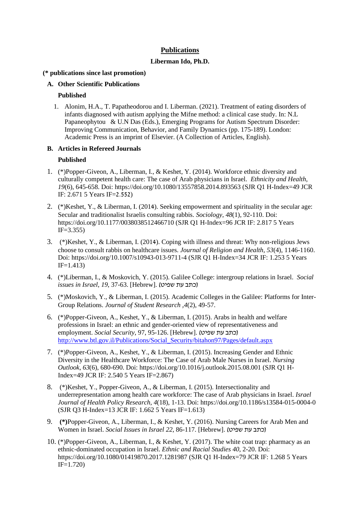# **Publications**

## **Liberman Ido, Ph.D.**

#### **(\* publications since last promotion)**

## **A. Other Scientific Publications**

## **Published**

1. Alonim, H.A., T. Papatheodorou and I. Liberman. (2021). Treatment of eating disorders of infants diagnosed with autism applying the Mifne method: a clinical case study. In: N.L Papaneophytou & U.N Das (Eds.), Emerging Programs for Autism Spectrum Disorder: Improving Communication, Behavior, and Family Dynamics (pp. 175-189). London: Academic Press is an imprint of Elsevier. (A Collection of Articles, English).

## **B. Articles in Refereed Journals**

## **Published**

- 1. (\*)Popper-Giveon, A., Liberman, I., & Keshet, Y. (2014). Workforce ethnic diversity and culturally competent health care: The case of Arab physicians in Israel. *Ethnicity and Health*, *19*(6), 645-658. Doi: https://doi.org/10.1080/13557858.2014.893563 (SJR Q1 H-Index=49 JCR IF: 2.671 5 Years IF=2.552)
- 2. (\*)Keshet, Y., & Liberman, I. (2014). Seeking empowerment and spirituality in the secular age: Secular and traditionalist Israelis consulting rabbis. *Sociology*, *48*(1), 92-110. Doi: https://doi.org/10.1177/0038038512466710 (SJR Q1 H-Index=96 JCR IF: 2.817 5 Years IF=3.355)
- 3. (\*)Keshet, Y., & Liberman, I. (2014). Coping with illness and threat: Why non-religious Jews choose to consult rabbis on healthcare issues. *Journal of Religion and Health, 53*(4), 1146-1160. Doi: https://doi.org/10.1007/s10943-013-9711-4 (SJR Q1 H-Index=34 JCR IF: 1.253 5 Years IF=1.413)
- 4. (\*)Liberman, I., & Moskovich, Y. (2015). Galilee College: intergroup relations in Israel. *Social issues in Israel, 19, 37-63.* [Hebrew]. (כתב עת שפיט)
- 5. (\*)Moskovich, Y., & Liberman, I. (2015). Academic Colleges in the Galilee: Platforms for Inter-Group Relations. *Journal of Student Research* ,*4*(2), 49-57.
- 6. (\*)Popper-Giveon, A., Keshet, Y., & Liberman, I. (2015). Arabs in health and welfare professions in Israel: an ethnic and gender-oriented view of representativeness and employment. *Social Security*, 97, 95-126. [Hebrew]. (כתב עת שפיט) [http://www.btl.gov.il/Publications/Social\\_Security/bitahon97/Pages/default.aspx](http://www.btl.gov.il/Publications/Social_Security/bitahon97/Pages/default.aspx)
- 7. (\*)Popper-Giveon, A., Keshet, Y., & Liberman, I. (2015). Increasing Gender and Ethnic Diversity in the Healthcare Workforce: The Case of Arab Male Nurses in Israel. *Nursing Outlook*, *63*(6), 680-690. Doi: https://doi.org/10.1016/j.outlook.2015.08.001 (SJR Q1 H-Index=49 JCR IF: 2.540 5 Years IF=2.867)
- 8. (\*)Keshet, Y., Popper-Giveon, A., & Liberman, I. (2015). Intersectionality and underrepresentation among health care workforce: The case of Arab physicians in Israel. *Israel Journal of Health Policy Research, 4*(18), 1-13. Doi: https://doi.org/10.1186/s13584-015-0004-0 (SJR Q3 H-Index=13 JCR IF: 1.662 5 Years IF=1.613)
- 9. **(\*)**Popper-Giveon, A., Liberman, I., & Keshet, Y. (2016). Nursing Careers for Arab Men and Women in Israel. *Social Issues in Israel 22*, 86-117. [Hebrew]. )שפיט עת כתב)
- 10. (\*)Popper-Giveon, A., Liberman, I., & Keshet, Y. (2017). The white coat trap: pharmacy as an ethnic-dominated occupation in Israel. *Ethnic and Racial Studies 40*, 2-20. Doi: https://doi.org/10.1080/01419870.2017.1281987 (SJR Q1 H-Index=79 JCR IF: 1.268 5 Years IF=1.720)